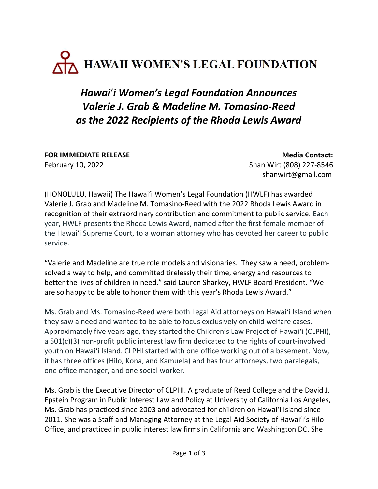## AZ HAWAII WOMEN'S LEGAL FOUNDATION

## Hawai'i Women's Legal Foundation Announces Valerie J. Grab & Madeline M. Tomasino-Reed as the 2022 Recipients of the Rhoda Lewis Award

FOR IMMEDIATE RELEASE MEDICINE AND ACCOUNT ON A SERVICE OF THE MEDICINE ON A SERVICE OF THE MEDICINE OF THE MEDICINE OF THE SERVICE OF THE MEDICINE OF THE MEDICINE OF THE MEDICINE OF THE MEDICINE OF THE MEDICINE OF THE MED February 10, 2022 Shan Wirt (808) 227-8546

shanwirt@gmail.com

(HONOLULU, Hawaii) The Hawai'i Women's Legal Foundation (HWLF) has awarded Valerie J. Grab and Madeline M. Tomasino-Reed with the 2022 Rhoda Lewis Award in recognition of their extraordinary contribution and commitment to public service. Each year, HWLF presents the Rhoda Lewis Award, named after the first female member of the Hawai'i Supreme Court, to a woman attorney who has devoted her career to public service.

"Valerie and Madeline are true role models and visionaries. They saw a need, problemsolved a way to help, and committed tirelessly their time, energy and resources to better the lives of children in need." said Lauren Sharkey, HWLF Board President. "We are so happy to be able to honor them with this year's Rhoda Lewis Award."

Ms. Grab and Ms. Tomasino-Reed were both Legal Aid attorneys on Hawai'i Island when they saw a need and wanted to be able to focus exclusively on child welfare cases. Approximately five years ago, they started the Children's Law Project of Hawai'i (CLPHI), a 501(c)(3) non-profit public interest law firm dedicated to the rights of court-involved youth on Hawai'i Island. CLPHI started with one office working out of a basement. Now, it has three offices (Hilo, Kona, and Kamuela) and has four attorneys, two paralegals, one office manager, and one social worker.

Ms. Grab is the Executive Director of CLPHI. A graduate of Reed College and the David J. Epstein Program in Public Interest Law and Policy at University of California Los Angeles, Ms. Grab has practiced since 2003 and advocated for children on Hawaiʻi Island since 2011. She was a Staff and Managing Attorney at the Legal Aid Society of Hawai'i's Hilo Office, and practiced in public interest law firms in California and Washington DC. She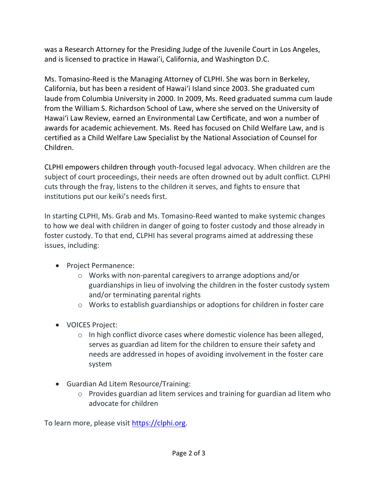was a Research Attorney for the Presiding Judge of the Juvenile Court in Los Angeles, and is licensed to practice in Hawai'i, California, and Washington D.C.

Ms. Tomasino-Reed is the Managing Attorney of CLPHI. She was born in Berkeley, California, but has been a resident of Hawaiʻi Island since 2003. She graduated cum laude from Columbia University in 2000. In 2009, Ms. Reed graduated summa cum laude from the William S. Richardson School of Law, where she served on the University of Hawai'i Law Review, earned an Environmental Law Certificate, and won a number of awards for academic achievement. Ms. Reed has focused on Child Welfare Law, and is certified as a Child Welfare Law Specialist by the National Association of Counsel for Children.

CLPHI empowers children through youth-focused legal advocacy. When children are the subject of court proceedings, their needs are often drowned out by adult conflict. CLPHI cuts through the fray, listens to the children it serves, and fights to ensure that institutions put our keiki's needs first.

In starting CLPHI, Ms. Grab and Ms. Tomasino-Reed wanted to make systemic changes to how we deal with children in danger of going to foster custody and those already in foster custody. To that end, CLPHI has several programs aimed at addressing these issues, including:

- Project Permanence:
	- o Works with non-parental caregivers to arrange adoptions and/or guardianships in lieu of involving the children in the foster custody system and/or terminating parental rights
	- o Works to establish guardianships or adoptions for children in foster care
- VOICES Project:
	- o In high conflict divorce cases where domestic violence has been alleged, serves as guardian ad litem for the children to ensure their safety and needs are addressed in hopes of avoiding involvement in the foster care system
- Guardian Ad Litem Resource/Training:
	- o Provides guardian ad litem services and training for guardian ad litem who advocate for children

To learn more, please visit https://clphi.org.